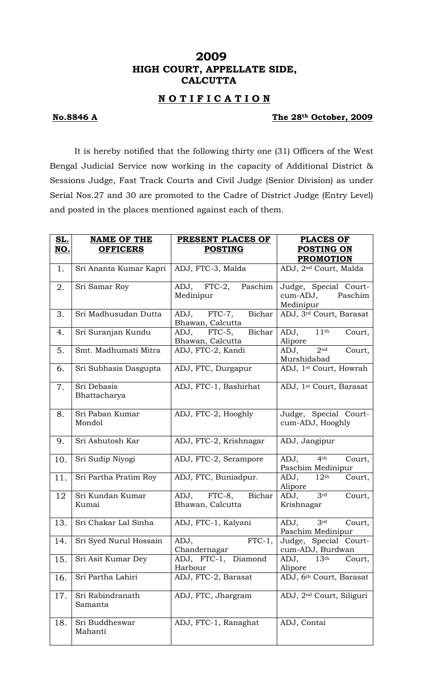# **2009 HIGH COURT, APPELLATE SIDE, CALCUTTA**

### **N O T I F I C A T I O N**

### **No.8846 A The 28th October, 2009**

It is hereby notified that the following thirty one (31) Officers of the West Bengal Judicial Service now working in the capacity of Additional District & Sessions Judge, Fast Track Courts and Civil Judge (Senior Division) as under Serial Nos.27 and 30 are promoted to the Cadre of District Judge (Entry Level) and posted in the places mentioned against each of them.

| <u>SL.</u> | <b>NAME OF THE</b>          | PRESENT PLACES OF                         | <b>PLACES OF</b>                                          |
|------------|-----------------------------|-------------------------------------------|-----------------------------------------------------------|
| <u>NO.</u> | <b>OFFICERS</b>             | <b>POSTING</b>                            | <b>POSTING ON</b>                                         |
|            |                             |                                           | <b>PROMOTION</b>                                          |
| 1.         | Sri Ananta Kumar Kapri      | ADJ, FTC-3, Malda                         | ADJ, 2 <sup>nd</sup> Court, Malda                         |
| 2.         | Sri Samar Roy               | ADJ, FTC-2,<br>Paschim<br>Medinipur       | Judge, Special Court-<br>cum-ADJ,<br>Paschim<br>Medinipur |
| 3.         | Sri Madhusudan Dutta        | ADJ, FTC-7,<br>Bichar<br>Bhawan, Calcutta | ADJ, 3rd Court, Barasat                                   |
| 4.         | Sri Suranjan Kundu          | Bichar<br>ADJ, FTC-5,<br>Bhawan, Calcutta | ADJ, $11th$<br>Court,<br>Alipore                          |
| 5.         | Smt. Madhumati Mitra        | ADJ, FTC-2, Kandi                         | 2 <sup>nd</sup><br>ADJ,<br>Court,<br>Murshidabad          |
| 6.         | Sri Subhasis Dasgupta       | ADJ, FTC, Durgapur                        | ADJ, 1 <sup>st</sup> Court, Howrah                        |
| 7.         | Sri Debasis<br>Bhattacharya | ADJ, FTC-1, Bashirhat                     | ADJ, 1 <sup>st</sup> Court, Barasat                       |
| 8.         | Sri Paban Kumar<br>Mondol   | ADJ, FTC-2, Hooghly                       | Judge, Special Court-<br>cum-ADJ, Hooghly                 |
| 9.         | Sri Ashutosh Kar            | ADJ, FTC-2, Krishnagar                    | ADJ, Jangipur                                             |
| 10.        | Sri Sudip Niyogi            | ADJ, FTC-2, Serampore                     | 4 <sup>th</sup><br>ADJ,<br>Court,<br>Paschim Medinipur    |
| 11.        | Sri Partha Pratim Roy       | ADJ, FTC, Buniadpur.                      | ADJ,<br>12 <sup>th</sup><br>Court,<br>Alipore             |
| 12         | Sri Kundan Kumar<br>Kumai   | ADJ, FTC-8,<br>Bichar<br>Bhawan, Calcutta | 3 <sup>rd</sup><br>ADJ,<br>Court,<br>Krishnagar           |
| 13.        | Sri Chakar Lal Sinha        | ADJ, FTC-1, Kalyani                       | 3 <sup>rd</sup><br>ADJ,<br>Court,<br>Paschim Medinipur    |
| 14.        | Sri Syed Nurul Hossain      | $FTC-1,$<br>ADJ,<br>Chandernagar          | Judge, Special Court-<br>cum-ADJ, Burdwan                 |
| 15.        | Sri Asit Kumar Dey          | ADJ, FTC-1, Diamond<br>Harbour            | 13 <sup>th</sup><br>ADJ,<br>Court,<br>Alipore             |
| 16.        | Sri Partha Lahiri           | ADJ, FTC-2, Barasat                       | ADJ, 6th Court, Barasat                                   |
| 17.        | Sri Rabindranath<br>Samanta | ADJ, FTC, Jhargram                        | ADJ, 2 <sup>nd</sup> Court, Siliguri                      |
| 18.        | Sri Buddheswar<br>Mahanti   | ADJ, FTC-1, Ranaghat                      | ADJ, Contai                                               |